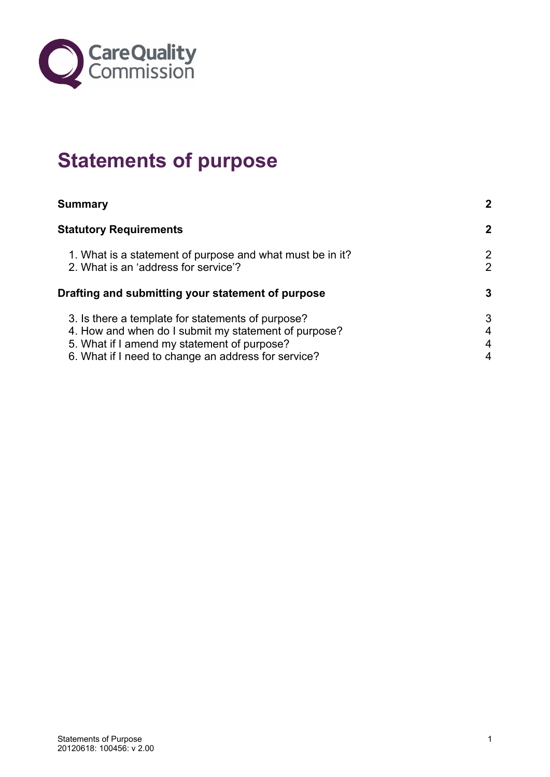

## **Statements of purpose**

| <b>Summary</b>                                                                                                                                                                                                  | $\mathbf{2}$        |
|-----------------------------------------------------------------------------------------------------------------------------------------------------------------------------------------------------------------|---------------------|
| <b>Statutory Requirements</b>                                                                                                                                                                                   | $\mathbf{2}$        |
| 1. What is a statement of purpose and what must be in it?<br>2. What is an 'address for service'?                                                                                                               | 2<br>$\overline{2}$ |
| Drafting and submitting your statement of purpose                                                                                                                                                               | 3                   |
| 3. Is there a template for statements of purpose?<br>4. How and when do I submit my statement of purpose?<br>5. What if I amend my statement of purpose?<br>6. What if I need to change an address for service? | 3<br>4<br>4<br>4    |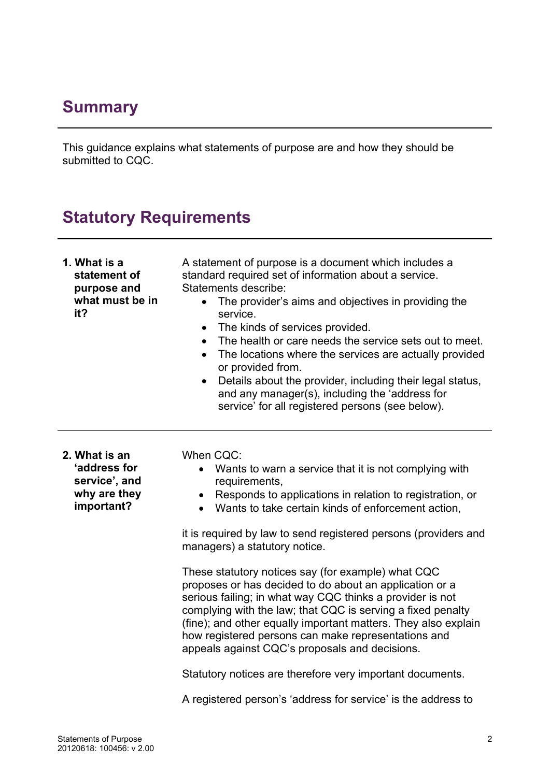## <span id="page-1-0"></span>**Summary**

This guidance explains what statements of purpose are and how they should be submitted to CQC.

## **Statutory Requirements**

| 1. What is a<br>statement of<br>purpose and<br>what must be in<br>it?        | A statement of purpose is a document which includes a<br>standard required set of information about a service.<br>Statements describe:<br>The provider's aims and objectives in providing the<br>$\bullet$<br>service.<br>The kinds of services provided.<br>$\bullet$<br>The health or care needs the service sets out to meet.<br>$\bullet$<br>The locations where the services are actually provided<br>$\bullet$<br>or provided from.<br>Details about the provider, including their legal status,<br>$\bullet$<br>and any manager(s), including the 'address for<br>service' for all registered persons (see below). |
|------------------------------------------------------------------------------|---------------------------------------------------------------------------------------------------------------------------------------------------------------------------------------------------------------------------------------------------------------------------------------------------------------------------------------------------------------------------------------------------------------------------------------------------------------------------------------------------------------------------------------------------------------------------------------------------------------------------|
| 2. What is an<br>'address for<br>service', and<br>why are they<br>important? | When CQC:<br>Wants to warn a service that it is not complying with<br>$\bullet$<br>requirements,<br>Responds to applications in relation to registration, or<br>Wants to take certain kinds of enforcement action,<br>$\bullet$<br>it is required by law to send registered persons (providers and<br>managers) a statutory notice.<br>These statutory notices say (for example) what CQC<br>proposes or has decided to do about an application or a                                                                                                                                                                      |
|                                                                              | serious failing; in what way CQC thinks a provider is not<br>complying with the law; that CQC is serving a fixed penalty<br>(fine); and other equally important matters. They also explain<br>how registered persons can make representations and<br>appeals against CQC's proposals and decisions.<br>Statutory notices are therefore very important documents.                                                                                                                                                                                                                                                          |
|                                                                              | A registered person's 'address for service' is the address to                                                                                                                                                                                                                                                                                                                                                                                                                                                                                                                                                             |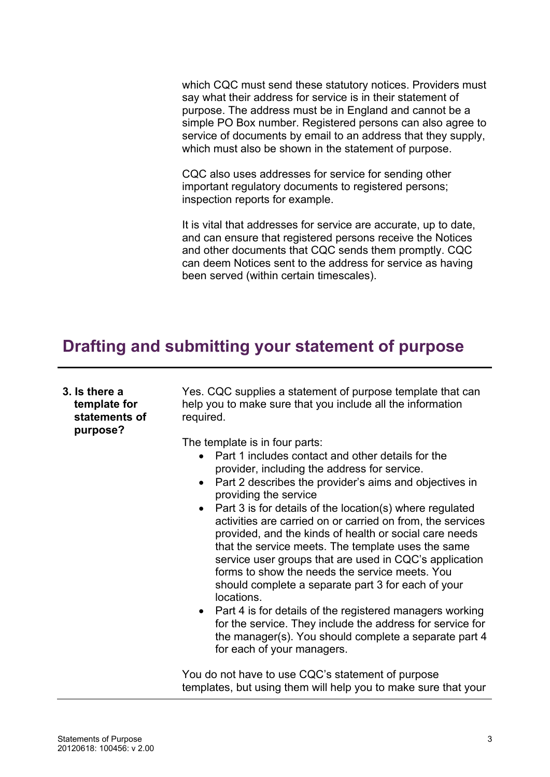<span id="page-2-0"></span>which CQC must send these statutory notices. Providers must say what their address for service is in their statement of purpose. The address must be in England and cannot be a simple PO Box number. Registered persons can also agree to service of documents by email to an address that they supply, which must also be shown in the statement of purpose.

CQC also uses addresses for service for sending other important regulatory documents to registered persons; inspection reports for example.

It is vital that addresses for service are accurate, up to date, and can ensure that registered persons receive the Notices and other documents that CQC sends them promptly. CQC can deem Notices sent to the address for service as having been served (within certain timescales).

## **Drafting and submitting your statement of purpose**

| 3. Is there a<br>template for<br>statements of<br>purpose? | Yes. CQC supplies a statement of purpose template that can<br>help you to make sure that you include all the information<br>required.                                                                                                                                                                                                                                                                                                                                                                                                                                                                                                                                                                                                                                                                                                                                                                                |
|------------------------------------------------------------|----------------------------------------------------------------------------------------------------------------------------------------------------------------------------------------------------------------------------------------------------------------------------------------------------------------------------------------------------------------------------------------------------------------------------------------------------------------------------------------------------------------------------------------------------------------------------------------------------------------------------------------------------------------------------------------------------------------------------------------------------------------------------------------------------------------------------------------------------------------------------------------------------------------------|
|                                                            | The template is in four parts:<br>Part 1 includes contact and other details for the<br>$\bullet$<br>provider, including the address for service.<br>Part 2 describes the provider's aims and objectives in<br>$\bullet$<br>providing the service<br>Part 3 is for details of the location(s) where regulated<br>$\bullet$<br>activities are carried on or carried on from, the services<br>provided, and the kinds of health or social care needs<br>that the service meets. The template uses the same<br>service user groups that are used in CQC's application<br>forms to show the needs the service meets. You<br>should complete a separate part 3 for each of your<br>locations.<br>Part 4 is for details of the registered managers working<br>$\bullet$<br>for the service. They include the address for service for<br>the manager(s). You should complete a separate part 4<br>for each of your managers. |
|                                                            | You do not have to use CQC's statement of purpose<br>templates, but using them will help you to make sure that your                                                                                                                                                                                                                                                                                                                                                                                                                                                                                                                                                                                                                                                                                                                                                                                                  |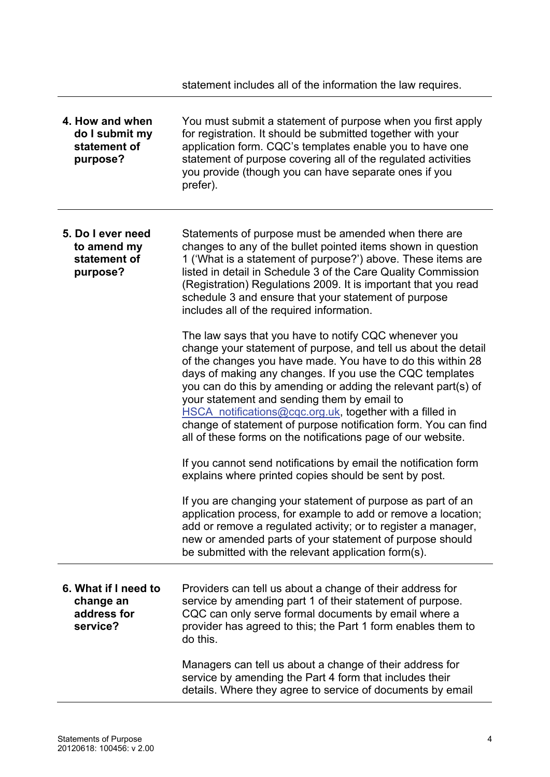statement includes all of the information the law requires.

<span id="page-3-0"></span>

| 4. How and when<br>do I submit my<br>statement of<br>purpose? | You must submit a statement of purpose when you first apply<br>for registration. It should be submitted together with your<br>application form. CQC's templates enable you to have one<br>statement of purpose covering all of the regulated activities<br>you provide (though you can have separate ones if you<br>prefer).                                                                                                                                                                                                                                     |
|---------------------------------------------------------------|------------------------------------------------------------------------------------------------------------------------------------------------------------------------------------------------------------------------------------------------------------------------------------------------------------------------------------------------------------------------------------------------------------------------------------------------------------------------------------------------------------------------------------------------------------------|
| 5. Do I ever need<br>to amend my<br>statement of<br>purpose?  | Statements of purpose must be amended when there are<br>changes to any of the bullet pointed items shown in question<br>1 ('What is a statement of purpose?') above. These items are<br>listed in detail in Schedule 3 of the Care Quality Commission<br>(Registration) Regulations 2009. It is important that you read<br>schedule 3 and ensure that your statement of purpose<br>includes all of the required information.                                                                                                                                     |
|                                                               | The law says that you have to notify CQC whenever you<br>change your statement of purpose, and tell us about the detail<br>of the changes you have made. You have to do this within 28<br>days of making any changes. If you use the CQC templates<br>you can do this by amending or adding the relevant part(s) of<br>your statement and sending them by email to<br>HSCA notifications@cqc.org.uk, together with a filled in<br>change of statement of purpose notification form. You can find<br>all of these forms on the notifications page of our website. |
|                                                               | If you cannot send notifications by email the notification form<br>explains where printed copies should be sent by post.                                                                                                                                                                                                                                                                                                                                                                                                                                         |
|                                                               | If you are changing your statement of purpose as part of an<br>application process, for example to add or remove a location;<br>add or remove a regulated activity; or to register a manager,<br>new or amended parts of your statement of purpose should<br>be submitted with the relevant application form(s).                                                                                                                                                                                                                                                 |
| 6. What if I need to<br>change an<br>address for<br>service?  | Providers can tell us about a change of their address for<br>service by amending part 1 of their statement of purpose.<br>CQC can only serve formal documents by email where a<br>provider has agreed to this; the Part 1 form enables them to<br>do this.                                                                                                                                                                                                                                                                                                       |
|                                                               | Managers can tell us about a change of their address for<br>service by amending the Part 4 form that includes their<br>details. Where they agree to service of documents by email                                                                                                                                                                                                                                                                                                                                                                                |